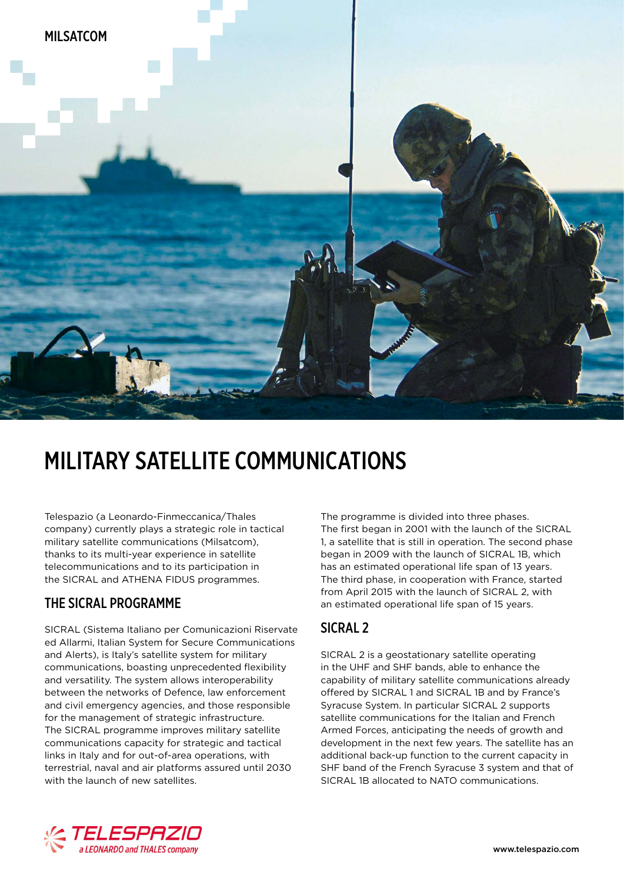

# MILITARY SATELLITE COMMUNICATIONS

Telespazio (a Leonardo-Finmeccanica/Thales company) currently plays a strategic role in tactical military satellite communications (Milsatcom), thanks to its multi-year experience in satellite telecommunications and to its participation in the SICRAL and ATHENA FIDUS programmes.

#### THE SICRAL PROGRAMME

SICRAL (Sistema Italiano per Comunicazioni Riservate ed Allarmi, Italian System for Secure Communications and Alerts), is Italy's satellite system for military communications, boasting unprecedented flexibility and versatility. The system allows interoperability between the networks of Defence, law enforcement and civil emergency agencies, and those responsible for the management of strategic infrastructure. The SICRAL programme improves military satellite communications capacity for strategic and tactical links in Italy and for out-of-area operations, with terrestrial, naval and air platforms assured until 2030 with the launch of new satellites.

The programme is divided into three phases. The first began in 2001 with the launch of the SICRAL 1, a satellite that is still in operation. The second phase began in 2009 with the launch of SICRAL 1B, which has an estimated operational life span of 13 years. The third phase, in cooperation with France, started from April 2015 with the launch of SICRAL 2, with an estimated operational life span of 15 years.

#### SICRAL 2

SICRAL 2 is a geostationary satellite operating in the UHF and SHF bands, able to enhance the capability of military satellite communications already offered by SICRAL 1 and SICRAL 1B and by France's Syracuse System. In particular SICRAL 2 supports satellite communications for the Italian and French Armed Forces, anticipating the needs of growth and development in the next few years. The satellite has an additional back-up function to the current capacity in SHF band of the French Syracuse 3 system and that of SICRAL 1B allocated to NATO communications.